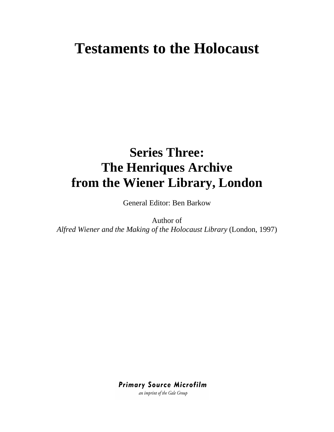# **Testaments to the Holocaust**

# **Series Three: The Henriques Archive from the Wiener Library, London**

General Editor: Ben Barkow

Author of *Alfred Wiener and the Making of the Holocaust Library* (London, 1997)

**Primary Source Microfilm** 

an imprint of the Gale Group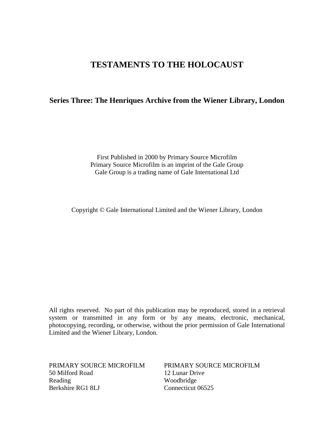## **TESTAMENTS TO THE HOLOCAUST**

## **Series Three: The Henriques Archive from the Wiener Library, London**

First Published in 2000 by Primary Source Microfilm Primary Source Microfilm is an imprint of the Gale Group Gale Group is a trading name of Gale International Ltd

Copyright © Gale International Limited and the Wiener Library, London

All rights reserved. No part of this publication may be reproduced, stored in a retrieval system or transmitted in any form or by any means, electronic, mechanical, photocopying, recording, or otherwise, without the prior permission of Gale International Limited and the Wiener Library, London.

PRIMARY SOURCE MICROFILM 50 Milford Road Reading Berkshire RG1 8LJ

PRIMARY SOURCE MICROFILM 12 Lunar Drive Woodbridge Connecticut 06525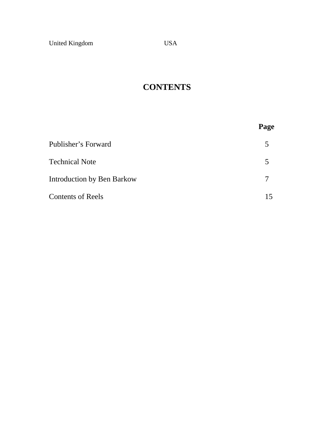# **CONTENTS**

|                                   | Page |
|-----------------------------------|------|
| Publisher's Forward               | 5    |
| <b>Technical Note</b>             | 5    |
| <b>Introduction by Ben Barkow</b> | 7    |
| <b>Contents of Reels</b>          | 15   |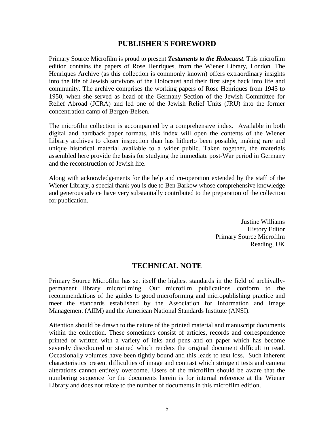## **PUBLISHER'S FOREWORD**

Primary Source Microfilm is proud to present *Testaments to the Holocaust*. This microfilm edition contains the papers of Rose Henriques, from the Wiener Library, London. The Henriques Archive (as this collection is commonly known) offers extraordinary insights into the life of Jewish survivors of the Holocaust and their first steps back into life and community. The archive comprises the working papers of Rose Henriques from 1945 to 1950, when she served as head of the Germany Section of the Jewish Committee for Relief Abroad (JCRA) and led one of the Jewish Relief Units (JRU) into the former concentration camp of Bergen-Belsen.

The microfilm collection is accompanied by a comprehensive index. Available in both digital and hardback paper formats, this index will open the contents of the Wiener Library archives to closer inspection than has hitherto been possible, making rare and unique historical material available to a wider public. Taken together, the materials assembled here provide the basis for studying the immediate post-War period in Germany and the reconstruction of Jewish life.

Along with acknowledgements for the help and co-operation extended by the staff of the Wiener Library, a special thank you is due to Ben Barkow whose comprehensive knowledge and generous advice have very substantially contributed to the preparation of the collection for publication.

> Justine Williams History Editor Primary Source Microfilm Reading, UK

## **TECHNICAL NOTE**

Primary Source Microfilm has set itself the highest standards in the field of archivallypermanent library microfilming. Our microfilm publications conform to the recommendations of the guides to good microforming and micropublishing practice and meet the standards established by the Association for Information and Image Management (AIIM) and the American National Standards Institute (ANSI).

Attention should be drawn to the nature of the printed material and manuscript documents within the collection. These sometimes consist of articles, records and correspondence printed or written with a variety of inks and pens and on paper which has become severely discoloured or stained which renders the original document difficult to read. Occasionally volumes have been tightly bound and this leads to text loss. Such inherent characteristics present difficulties of image and contrast which stringent tests and camera alterations cannot entirely overcome. Users of the microfilm should be aware that the numbering sequence for the documents herein is for internal reference at the Wiener Library and does not relate to the number of documents in this microfilm edition.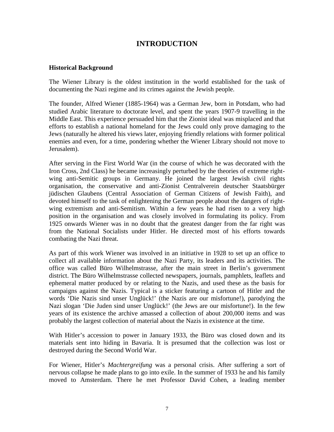## **INTRODUCTION**

## **Historical Background**

The Wiener Library is the oldest institution in the world established for the task of documenting the Nazi regime and its crimes against the Jewish people.

The founder, Alfred Wiener (1885-1964) was a German Jew, born in Potsdam, who had studied Arabic literature to doctorate level, and spent the years 1907-9 travelling in the Middle East. This experience persuaded him that the Zionist ideal was misplaced and that efforts to establish a national homeland for the Jews could only prove damaging to the Jews (naturally he altered his views later, enjoying friendly relations with former political enemies and even, for a time, pondering whether the Wiener Library should not move to Jerusalem).

After serving in the First World War (in the course of which he was decorated with the Iron Cross, 2nd Class) he became increasingly perturbed by the theories of extreme rightwing anti-Semitic groups in Germany. He joined the largest Jewish civil rights organisation, the conservative and anti-Zionist Centralverein deutscher Staatsbürger jüdischen Glaubens (Central Association of German Citizens of Jewish Faith), and devoted himself to the task of enlightening the German people about the dangers of rightwing extremism and anti-Semitism. Within a few years he had risen to a very high position in the organisation and was closely involved in formulating its policy. From 1925 onwards Wiener was in no doubt that the greatest danger from the far right was from the National Socialists under Hitler. He directed most of his efforts towards combating the Nazi threat.

As part of this work Wiener was involved in an initiative in 1928 to set up an office to collect all available information about the Nazi Party, its leaders and its activities. The office was called Büro Wilhelmstrasse, after the main street in Berlin's government district. The Büro Wilhelmstrasse collected newspapers, journals, pamphlets, leaflets and ephemeral matter produced by or relating to the Nazis, and used these as the basis for campaigns against the Nazis. Typical is a sticker featuring a cartoon of Hitler and the words 'Die Nazis sind unser Unglück!' (the Nazis are our misfortune!), parodying the Nazi slogan 'Die Juden sind unser Unglück!' (the Jews are our misfortune!). In the few years of its existence the archive amassed a collection of about 200,000 items and was probably the largest collection of material about the Nazis in existence at the time.

With Hitler's accession to power in January 1933, the Büro was closed down and its materials sent into hiding in Bavaria. It is presumed that the collection was lost or destroyed during the Second World War.

For Wiener, Hitler's *Machtergreifung* was a personal crisis. After suffering a sort of nervous collapse he made plans to go into exile. In the summer of 1933 he and his family moved to Amsterdam. There he met Professor David Cohen, a leading member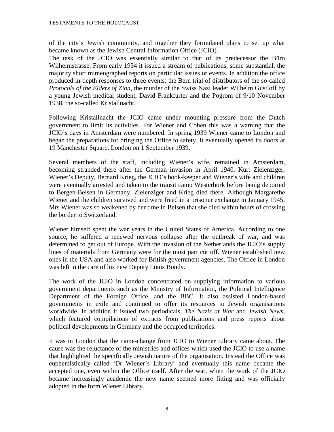#### TESTAMENTS TO THE HOLOCAUST

of the city's Jewish community, and together they formulated plans to set up what became known as the Jewish Central Information Office (JCIO).

The task of the JCIO was essentially similar to that of its predecessor the Büro Wilhelmstrasse. From early 1934 it issued a stream of publications, some substantial, the majority short mimeographed reports on particular issues or events. In addition the office produced in-depth responses to three events: the Bern trial of distributors of the so-called *Protocols of the Elders of Zion*, the murder of the Swiss Nazi leader Wilhelm Gustloff by a young Jewish medical student, David Frankfurter and the Pogrom of 9/10 November 1938, the so-called Kristallnacht.

Following Kristallnacht the JCIO came under mounting pressure from the Dutch government to limit its activities. For Wiener and Cohen this was a warning that the JCIO's days in Amsterdam were numbered. In spring 1939 Wiener came to London and began the preparations for bringing the Office to safety. It eventually opened its doors at 19 Manchester Square, London on 1 September 1939.

Several members of the staff, including Wiener's wife, remained in Amsterdam, becoming stranded there after the German invasion in April 1940. Kurt Zielenziger, Wiener's Deputy, Bernard Krieg, the JCIO's book-keeper and Wiener's wife and children were eventually arrested and taken to the transit camp Westerbork before being deported to Bergen-Belsen in Germany. Zielenziger and Krieg died there. Although Margarethe Wiener and the children survived and were freed in a prisoner exchange in January 1945, Mrs Wiener was so weakened by her time in Belsen that she died within hours of crossing the border to Switzerland.

Wiener himself spent the war years in the United States of America. According to one source, he suffered a renewed nervous collapse after the outbreak of war, and was determined to get out of Europe. With the invasion of the Netherlands the JCIO's supply lines of materials from Germany were for the most part cut off. Wiener established new ones in the USA and also worked for British government agencies. The Office in London was left in the care of his new Deputy Louis Bondy.

The work of the JCIO in London concentrated on supplying information to various government departments such as the Ministry of Information, the Political Intelligence Department of the Foreign Office, and the BBC. It also assisted London-based governments in exile and continued to offer its resources to Jewish organisations worldwide. In addition it issued two periodicals, *The Nazis at War* and *Jewish News,* which featured compilations of extracts from publications and press reports about political developments in Germany and the occupied territories.

It was in London that the name-change from JCIO to Wiener Library came about. The cause was the reluctance of the ministries and offices which used the JCIO to use a name that highlighted the specifically Jewish nature of the organisation. Instead the Office was euphemistically called 'Dr Wiener's Library' and eventually this name became the accepted one, even within the Office itself. After the war, when the work of the JCIO became increasingly academic the new name seemed more fitting and was officially adopted in the form Wiener Library.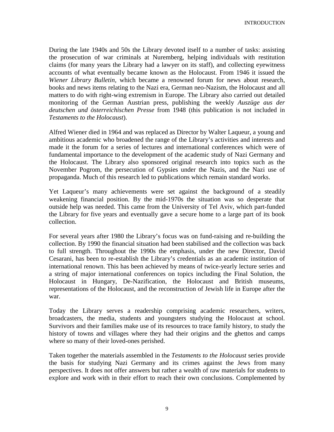INTRODUCTION

During the late 1940s and 50s the Library devoted itself to a number of tasks: assisting the prosecution of war criminals at Nuremberg, helping individuals with restitution claims (for many years the Library had a lawyer on its staff), and collecting eyewitness accounts of what eventually became known as the Holocaust. From 1946 it issued the *Wiener Library Bulletin,* which became a renowned forum for news about research, books and news items relating to the Nazi era, German neo-Nazism, the Holocaust and all matters to do with right-wing extremism in Europe. The Library also carried out detailed monitoring of the German Austrian press, publishing the weekly *Auszüge aus der deutschen und österreichischen Presse* from 1948 (this publication is not included in *Testaments to the Holocaust*).

Alfred Wiener died in 1964 and was replaced as Director by Walter Laqueur, a young and ambitious academic who broadened the range of the Library's activities and interests and made it the forum for a series of lectures and international conferences which were of fundamental importance to the development of the academic study of Nazi Germany and the Holocaust. The Library also sponsored original research into topics such as the November Pogrom, the persecution of Gypsies under the Nazis, and the Nazi use of propaganda. Much of this research led to publications which remain standard works.

Yet Laqueur's many achievements were set against the background of a steadily weakening financial position. By the mid-1970s the situation was so desperate that outside help was needed. This came from the University of Tel Aviv, which part-funded the Library for five years and eventually gave a secure home to a large part of its book collection.

For several years after 1980 the Library's focus was on fund-raising and re-building the collection. By 1990 the financial situation had been stabilised and the collection was back to full strength. Throughout the 1990s the emphasis, under the new Director, David Cesarani, has been to re-establish the Library's credentials as an academic institution of international renown. This has been achieved by means of twice-yearly lecture series and a string of major international conferences on topics including the Final Solution, the Holocaust in Hungary, De-Nazification, the Holocaust and British museums, representations of the Holocaust, and the reconstruction of Jewish life in Europe after the war.

Today the Library serves a readership comprising academic researchers, writers, broadcasters, the media, students and youngsters studying the Holocaust at school. Survivors and their families make use of its resources to trace family history, to study the history of towns and villages where they had their origins and the ghettos and camps where so many of their loved-ones perished.

Taken together the materials assembled in the *Testaments to the Holocaust* series provide the basis for studying Nazi Germany and its crimes against the Jews from many perspectives. It does not offer answers but rather a wealth of raw materials for students to explore and work with in their effort to reach their own conclusions. Complemented by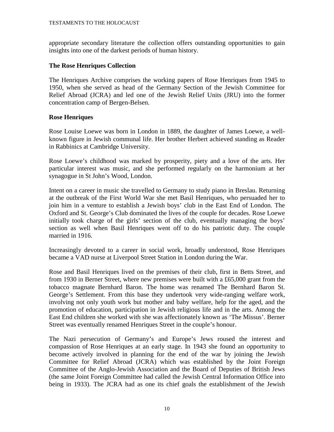#### TESTAMENTS TO THE HOLOCAUST

appropriate secondary literature the collection offers outstanding opportunities to gain insights into one of the darkest periods of human history.

### **The Rose Henriques Collection**

The Henriques Archive comprises the working papers of Rose Henriques from 1945 to 1950, when she served as head of the Germany Section of the Jewish Committee for Relief Abroad (JCRA) and led one of the Jewish Relief Units (JRU) into the former concentration camp of Bergen-Belsen.

## **Rose Henriques**

Rose Louise Loewe was born in London in 1889, the daughter of James Loewe, a wellknown figure in Jewish communal life. Her brother Herbert achieved standing as Reader in Rabbinics at Cambridge University.

Rose Loewe's childhood was marked by prosperity, piety and a love of the arts. Her particular interest was music, and she performed regularly on the harmonium at her synagogue in St John's Wood, London.

Intent on a career in music she travelled to Germany to study piano in Breslau. Returning at the outbreak of the First World War she met Basil Henriques, who persuaded her to join him in a venture to establish a Jewish boys' club in the East End of London. The Oxford and St. George's Club dominated the lives of the couple for decades. Rose Loewe initially took charge of the girls' section of the club, eventually managing the boys' section as well when Basil Henriques went off to do his patriotic duty. The couple married in 1916.

Increasingly devoted to a career in social work, broadly understood, Rose Henriques became a VAD nurse at Liverpool Street Station in London during the War.

Rose and Basil Henriques lived on the premises of their club, first in Betts Street, and from 1930 in Berner Street, where new premises were built with a £65,000 grant from the tobacco magnate Bernhard Baron. The home was renamed The Bernhard Baron St. George's Settlement. From this base they undertook very wide-ranging welfare work, involving not only youth work but mother and baby welfare, help for the aged, and the promotion of education, participation in Jewish religious life and in the arts. Among the East End children she worked with she was affectionately known as 'The Missus'. Berner Street was eventually renamed Henriques Street in the couple's honour.

The Nazi persecution of Germany's and Europe's Jews roused the interest and compassion of Rose Henriques at an early stage. In 1943 she found an opportunity to become actively involved in planning for the end of the war by joining the Jewish Committee for Relief Abroad (JCRA) which was established by the Joint Foreign Committee of the Anglo-Jewish Association and the Board of Deputies of British Jews (the same Joint Foreign Committee had called the Jewish Central Information Office into being in 1933). The JCRA had as one its chief goals the establishment of the Jewish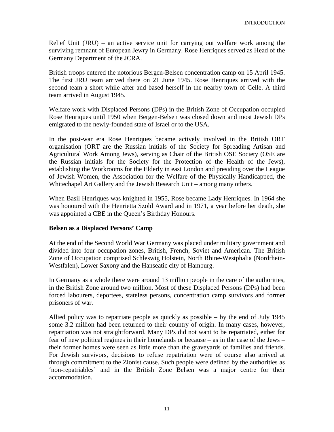Relief Unit (JRU) – an active service unit for carrying out welfare work among the surviving remnant of European Jewry in Germany. Rose Henriques served as Head of the Germany Department of the JCRA.

British troops entered the notorious Bergen-Belsen concentration camp on 15 April 1945. The first JRU team arrived there on 21 June 1945. Rose Henriques arrived with the second team a short while after and based herself in the nearby town of Celle. A third team arrived in August 1945.

Welfare work with Displaced Persons (DPs) in the British Zone of Occupation occupied Rose Henriques until 1950 when Bergen-Belsen was closed down and most Jewish DPs emigrated to the newly-founded state of Israel or to the USA.

In the post-war era Rose Henriques became actively involved in the British ORT organisation (ORT are the Russian initials of the Society for Spreading Artisan and Agricultural Work Among Jews), serving as Chair of the British OSE Society (OSE are the Russian initials for the Society for the Protection of the Health of the Jews), establishing the Workrooms for the Elderly in east London and presiding over the League of Jewish Women, the Association for the Welfare of the Physically Handicapped, the Whitechapel Art Gallery and the Jewish Research Unit – among many others.

When Basil Henriques was knighted in 1955, Rose became Lady Henriques. In 1964 she was honoured with the Henrietta Szold Award and in 1971, a year before her death, she was appointed a CBE in the Queen's Birthday Honours.

#### **Belsen as a Displaced Persons' Camp**

At the end of the Second World War Germany was placed under military government and divided into four occupation zones, British, French, Soviet and American. The British Zone of Occupation comprised Schleswig Holstein, North Rhine-Westphalia (Nordrhein-Westfalen), Lower Saxony and the Hanseatic city of Hamburg.

In Germany as a whole there were around 13 million people in the care of the authorities, in the British Zone around two million. Most of these Displaced Persons (DPs) had been forced labourers, deportees, stateless persons, concentration camp survivors and former prisoners of war.

Allied policy was to repatriate people as quickly as possible – by the end of July 1945 some 3.2 million had been returned to their country of origin. In many cases, however, repatriation was not straightforward. Many DPs did not want to be repatriated, either for fear of new political regimes in their homelands or because – as in the case of the Jews – their former homes were seen as little more than the graveyards of families and friends. For Jewish survivors, decisions to refuse repatriation were of course also arrived at through commitment to the Zionist cause. Such people were defined by the authorities as 'non-repatriables' and in the British Zone Belsen was a major centre for their accommodation.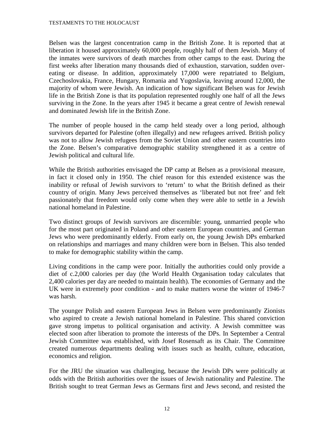#### TESTAMENTS TO THE HOLOCAUST

Belsen was the largest concentration camp in the British Zone. It is reported that at liberation it housed approximately 60,000 people, roughly half of them Jewish. Many of the inmates were survivors of death marches from other camps to the east. During the first weeks after liberation many thousands died of exhaustion, starvation, sudden overeating or disease. In addition, approximately 17,000 were repatriated to Belgium, Czechoslovakia, France, Hungary, Romania and Yugoslavia, leaving around 12,000, the majority of whom were Jewish. An indication of how significant Belsen was for Jewish life in the British Zone is that its population represented roughly one half of all the Jews surviving in the Zone. In the years after 1945 it became a great centre of Jewish renewal and dominated Jewish life in the British Zone.

The number of people housed in the camp held steady over a long period, although survivors departed for Palestine (often illegally) and new refugees arrived. British policy was not to allow Jewish refugees from the Soviet Union and other eastern countries into the Zone. Belsen's comparative demographic stability strengthened it as a centre of Jewish political and cultural life.

While the British authorities envisaged the DP camp at Belsen as a provisional measure, in fact it closed only in 1950. The chief reason for this extended existence was the inability or refusal of Jewish survivors to 'return' to what the British defined as their country of origin. Many Jews perceived themselves as 'liberated but not free' and felt passionately that freedom would only come when they were able to settle in a Jewish national homeland in Palestine.

Two distinct groups of Jewish survivors are discernible: young, unmarried people who for the most part originated in Poland and other eastern European countries, and German Jews who were predominantly elderly. From early on, the young Jewish DPs embarked on relationships and marriages and many children were born in Belsen. This also tended to make for demographic stability within the camp.

Living conditions in the camp were poor. Initially the authorities could only provide a diet of c.2,000 calories per day (the World Health Organisation today calculates that 2,400 calories per day are needed to maintain health). The economies of Germany and the UK were in extremely poor condition - and to make matters worse the winter of 1946-7 was harsh.

The younger Polish and eastern European Jews in Belsen were predominantly Zionists who aspired to create a Jewish national homeland in Palestine. This shared conviction gave strong impetus to political organisation and activity. A Jewish committee was elected soon after liberation to promote the interests of the DPs. In September a Central Jewish Committee was established, with Josef Rosensaft as its Chair. The Committee created numerous departments dealing with issues such as health, culture, education, economics and religion.

For the JRU the situation was challenging, because the Jewish DPs were politically at odds with the British authorities over the issues of Jewish nationality and Palestine. The British sought to treat German Jews as Germans first and Jews second, and resisted the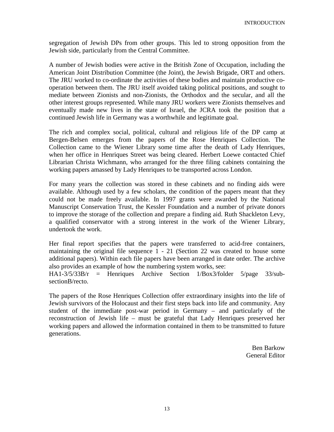segregation of Jewish DPs from other groups. This led to strong opposition from the Jewish side, particularly from the Central Committee.

A number of Jewish bodies were active in the British Zone of Occupation, including the American Joint Distribution Committee (the Joint), the Jewish Brigade, ORT and others. The JRU worked to co-ordinate the activities of these bodies and maintain productive cooperation between them. The JRU itself avoided taking political positions, and sought to mediate between Zionists and non-Zionists, the Orthodox and the secular, and all the other interest groups represented. While many JRU workers were Zionists themselves and eventually made new lives in the state of Israel, the JCRA took the position that a continued Jewish life in Germany was a worthwhile and legitimate goal.

The rich and complex social, political, cultural and religious life of the DP camp at Bergen-Belsen emerges from the papers of the Rose Henriques Collection. The Collection came to the Wiener Library some time after the death of Lady Henriques, when her office in Henriques Street was being cleared. Herbert Loewe contacted Chief Librarian Christa Wichmann, who arranged for the three filing cabinets containing the working papers amassed by Lady Henriques to be transported across London.

For many years the collection was stored in these cabinets and no finding aids were available. Although used by a few scholars, the condition of the papers meant that they could not be made freely available. In 1997 grants were awarded by the National Manuscript Conservation Trust, the Kessler Foundation and a number of private donors to improve the storage of the collection and prepare a finding aid. Ruth Shackleton Levy, a qualified conservator with a strong interest in the work of the Wiener Library, undertook the work.

Her final report specifies that the papers were transferred to acid-free containers, maintaining the original file sequence 1 - 21 (Section 22 was created to house some additional papers). Within each file papers have been arranged in date order. The archive also provides an example of how the numbering system works, see:

HA1-3/5/33B/r = Henriques Archive Section 1/Box3/folder 5/page 33/subsectionB/recto.

The papers of the Rose Henriques Collection offer extraordinary insights into the life of Jewish survivors of the Holocaust and their first steps back into life and community. Any student of the immediate post-war period in Germany – and particularly of the reconstruction of Jewish life – must be grateful that Lady Henriques preserved her working papers and allowed the information contained in them to be transmitted to future generations.

> Ben Barkow General Editor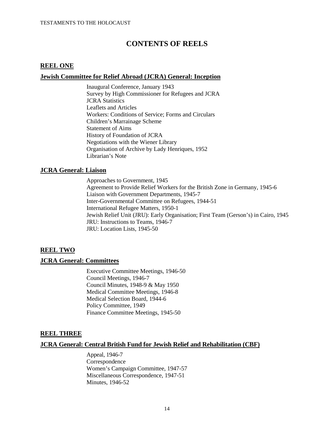## **CONTENTS OF REELS**

#### **REEL ONE**

#### **Jewish Committee for Relief Abroad (JCRA) General: Inception**

Inaugural Conference, January 1943 Survey by High Commissioner for Refugees and JCRA JCRA Statistics Leaflets and Articles Workers: Conditions of Service; Forms and Circulars Children's Marrainage Scheme Statement of Aims History of Foundation of JCRA Negotiations with the Wiener Library Organisation of Archive by Lady Henriques, 1952 Librarian's Note

#### **JCRA General: Liaison**

Approaches to Government, 1945 Agreement to Provide Relief Workers for the British Zone in Germany, 1945-6 Liaison with Government Departments, 1945-7 Inter-Governmental Committee on Refugees, 1944-51 International Refugee Matters, 1950-1 Jewish Relief Unit (JRU): Early Organisation; First Team (Gerson's) in Cairo, 1945 JRU: Instructions to Teams, 1946-7 JRU: Location Lists, 1945-50

#### **REEL TWO**

#### **JCRA General: Committees**

Executive Committee Meetings, 1946-50 Council Meetings, 1946-7 Council Minutes, 1948-9 & May 1950 Medical Committee Meetings, 1946-8 Medical Selection Board, 1944-6 Policy Committee, 1949 Finance Committee Meetings, 1945-50

#### **REEL THREE**

#### **JCRA General: Central British Fund for Jewish Relief and Rehabilitation (CBF)**

Appeal, 1946-7 Correspondence Women's Campaign Committee, 1947-57 Miscellaneous Correspondence, 1947-51 Minutes, 1946-52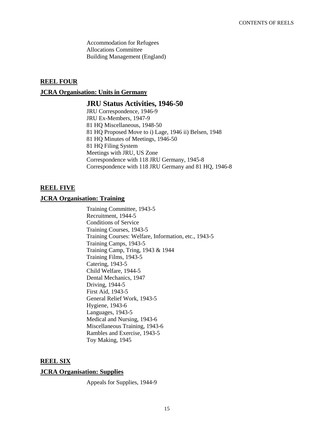Accommodation for Refugees Allocations Committee Building Management (England)

#### **REEL FOUR**

#### **JCRA Organisation: Units in Germany**

#### **JRU Status Activities, 1946-50**

JRU Correspondence, 1946-9 JRU Ex-Members, 1947-9 81 HQ Miscellaneous, 1948-50 81 HQ Proposed Move to i) Lage, 1946 ii) Belsen, 1948 81 HQ Minutes of Meetings, 1946-50 81 HQ Filing System Meetings with JRU, US Zone Correspondence with 118 JRU Germany, 1945-8 Correspondence with 118 JRU Germany and 81 HQ, 1946-8

#### **REEL FIVE**

#### **JCRA Organisation: Training**

Training Committee, 1943-5 Recruitment, 1944-5 Conditions of Service Training Courses, 1943-5 Training Courses: Welfare, Information, etc., 1943-5 Training Camps, 1943-5 Training Camp, Tring, 1943 & 1944 Training Films, 1943-5 Catering, 1943-5 Child Welfare, 1944-5 Dental Mechanics, 1947 Driving, 1944-5 First Aid, 1943-5 General Relief Work, 1943-5 Hygiene, 1943-6 Languages, 1943-5 Medical and Nursing, 1943-6 Miscellaneous Training, 1943-6 Rambles and Exercise, 1943-5 Toy Making, 1945

#### **REEL SIX**

#### **JCRA Organisation: Supplies**

Appeals for Supplies, 1944-9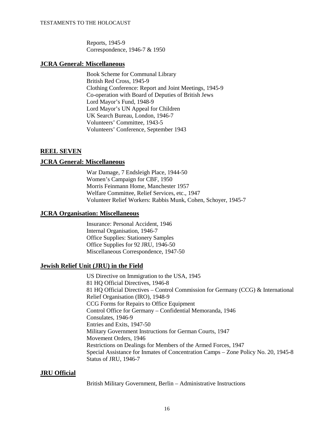Reports, 1945-9 Correspondence, 1946-7 & 1950

#### **JCRA General: Miscellaneous**

Book Scheme for Communal Library British Red Cross, 1945-9 Clothing Conference: Report and Joint Meetings, 1945-9 Co-operation with Board of Deputies of British Jews Lord Mayor's Fund, 1948-9 Lord Mayor's UN Appeal for Children UK Search Bureau, London, 1946-7 Volunteers' Committee, 1943-5 Volunteers' Conference, September 1943

## **REEL SEVEN**

#### **JCRA General: Miscellaneous**

War Damage, 7 Endsleigh Place, 1944-50 Women's Campaign for CBF, 1950 Morris Feinmann Home, Manchester 1957 Welfare Committee, Relief Services, etc., 1947 Volunteer Relief Workers: Rabbis Munk, Cohen, Schoyer, 1945-7

#### **JCRA Organisation: Miscellaneous**

Insurance: Personal Accident, 1946 Internal Organisation, 1946-7 Office Supplies: Stationery Samples Office Supplies for 92 JRU, 1946-50 Miscellaneous Correspondence, 1947-50

### **Jewish Relief Unit (JRU) in the Field**

US Directive on Immigration to the USA, 1945 81 HQ Official Directives, 1946-8 81 HQ Official Directives – Control Commission for Germany (CCG)  $\&$  International Relief Organisation (IRO), 1948-9 CCG Forms for Repairs to Office Equipment Control Office for Germany – Confidential Memoranda, 1946 Consulates, 1946-9 Entries and Exits, 1947-50 Military Government Instructions for German Courts, 1947 Movement Orders, 1946 Restrictions on Dealings for Members of the Armed Forces, 1947 Special Assistance for Inmates of Concentration Camps – Zone Policy No. 20, 1945-8 Status of JRU, 1946-7

#### **JRU Official**

British Military Government, Berlin – Administrative Instructions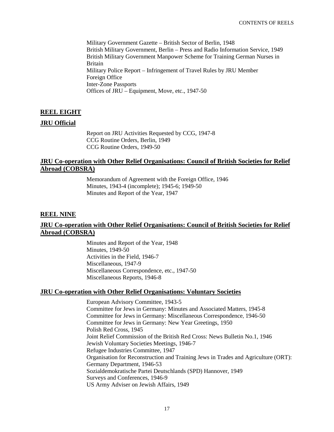Military Government Gazette – British Sector of Berlin, 1948 British Military Government, Berlin – Press and Radio Information Service, 1949 British Military Government Manpower Scheme for Training German Nurses in Britain Military Police Report – Infringement of Travel Rules by JRU Member Foreign Office Inter-Zone Passports Offices of JRU – Equipment, Move, etc., 1947-50

## **REEL EIGHT**

#### **JRU Official**

Report on JRU Activities Requested by CCG, 1947-8 CCG Routine Orders, Berlin, 1949 CCG Routine Orders, 1949-50

#### **JRU Co-operation with Other Relief Organisations: Council of British Societies for Relief Abroad (COBSRA)**

Memorandum of Agreement with the Foreign Office, 1946 Minutes, 1943-4 (incomplete); 1945-6; 1949-50 Minutes and Report of the Year, 1947

### **REEL NINE**

### **JRU Co-operation with Other Relief Organisations: Council of British Societies for Relief Abroad (COBSRA)**

Minutes and Report of the Year, 1948 Minutes, 1949-50 Activities in the Field, 1946-7 Miscellaneous, 1947-9 Miscellaneous Correspondence, etc., 1947-50 Miscellaneous Reports, 1946-8

#### **JRU Co-operation with Other Relief Organisations: Voluntary Societies**

European Advisory Committee, 1943-5 Committee for Jews in Germany: Minutes and Associated Matters, 1945-8 Committee for Jews in Germany: Miscellaneous Correspondence, 1946-50 Committee for Jews in Germany: New Year Greetings, 1950 Polish Red Cross, 1945 Joint Relief Commission of the British Red Cross: News Bulletin No.1, 1946 Jewish Voluntary Societies Meetings, 1946-7 Refugee Industries Committee, 1947 Organisation for Reconstruction and Training Jews in Trades and Agriculture (ORT): Germany Department, 1946-53 Sozialdemokratische Partei Deutschlands (SPD) Hannover, 1949 Surveys and Conferences, 1946-9 US Army Adviser on Jewish Affairs, 1949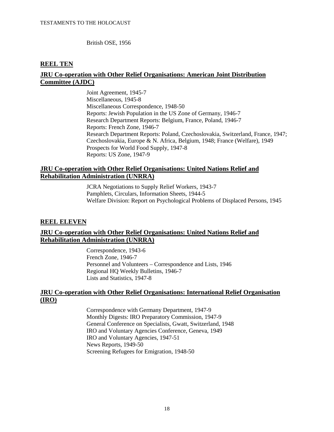British OSE, 1956

### **REEL TEN**

### **JRU Co-operation with Other Relief Organisations: American Joint Distribution Committee (AJDC)**

Joint Agreement, 1945-7 Miscellaneous, 1945-8 Miscellaneous Correspondence, 1948-50 Reports: Jewish Population in the US Zone of Germany, 1946-7 Research Department Reports: Belgium, France, Poland, 1946-7 Reports: French Zone, 1946-7 Research Department Reports: Poland, Czechoslovakia, Switzerland, France, 1947; Czechoslovakia, Europe & N. Africa, Belgium, 1948; France (Welfare), 1949 Prospects for World Food Supply, 1947-8 Reports: US Zone, 1947-9

#### **JRU Co-operation with Other Relief Organisations: United Nations Relief and Rehabilitation Administration (UNRRA)**

JCRA Negotiations to Supply Relief Workers, 1943-7 Pamphlets, Circulars, Information Sheets, 1944-5 Welfare Division: Report on Psychological Problems of Displaced Persons, 1945

### **REEL ELEVEN**

## **JRU Co-operation with Other Relief Organisations: United Nations Relief and Rehabilitation Administration (UNRRA)**

Correspondence, 1943-6 French Zone, 1946-7 Personnel and Volunteers – Correspondence and Lists, 1946 Regional HQ Weekly Bulletins, 1946-7 Lists and Statistics, 1947-8

### **JRU Co-operation with Other Relief Organisations: International Relief Organisation (IRO)**

Correspondence with Germany Department, 1947-9 Monthly Digests: IRO Preparatory Commission, 1947-9 General Conference on Specialists, Gwatt, Switzerland, 1948 IRO and Voluntary Agencies Conference, Geneva, 1949 IRO and Voluntary Agencies, 1947-51 News Reports, 1949-50 Screening Refugees for Emigration, 1948-50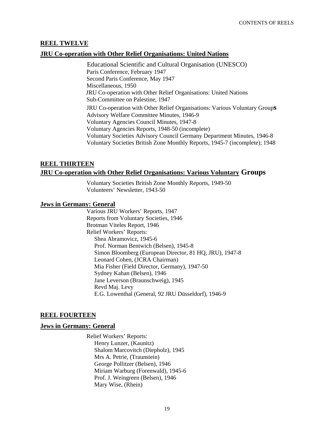#### **REEL TWELVE**

#### **JRU Co-operation with Other Relief Organisations: United Nations**

Educational Scientific and Cultural Organisation (UNESCO) Paris Conference, February 1947 Second Paris Conference, May 1947 Miscellaneous, 1950 JRU Co-operation with Other Relief Organisations: United Nations Sub-Committee on Palestine, 1947 JRU Co-operation with Other Relief Organisations: Various Voluntary Group**s** Advisory Welfare Committee Minutes, 1946-9 Voluntary Agencies Council Minutes, 1947-8 Voluntary Agencies Reports, 1948-50 (incomplete) Voluntary Societies Advisory Council Germany Department Minutes, 1946-8 Voluntary Societies British Zone Monthly Reports, 1945-7 (incomplete); 1948

## **REEL THIRTEEN JRU Co-operation with Other Relief Organisations: Various Voluntary Groups**

Voluntary Societies British Zone Monthly Reports, 1949-50 Volunteers' Newsletter, 1943-50

#### **Jews in Germany: General**

Various JRU Workers' Reports, 1947 Reports from Voluntary Societies, 1946 Brotman Viteles Report, 1946 Relief Workers' Reports: Shea Abramovicz, 1945-6 Prof. Norman Bentwich (Belsen), 1945-8 Simon Bloomberg (European Director, 81 HQ, JRU), 1947-8 Leonard Cohen, (JCRA Chairman) Mia Fisher (Field Director, Germany), 1947-50 Sydney Kahan (Belsen), 1946 Jane Leverson (Braunschweig), 1945 Revd Maj. Levy E.G. Lowenthal (General, 92 JRU Düsseldorf), 1946-9

#### **REEL FOURTEEN**

#### **Jews in Germany: General**

Relief Workers' Reports: Henry Lunzer, (Kaunitz) Shalom Marcovitch (Diepholz), 1945 Mrs A. Petrie, (Traunstein) George Pollitzer (Belsen), 1946 Miriam Warburg (Forenwald), 1945-6 Prof. J. Weingreen (Belsen), 1946 Mary Wise, (Rhein)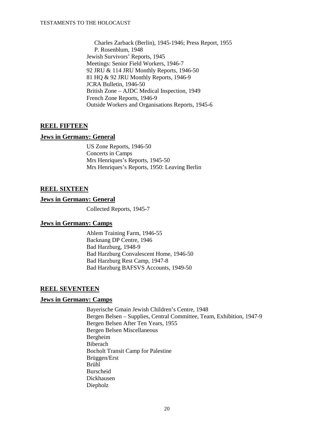Charles Zarback (Berlin), 1945-1946; Press Report, 1955 P. Rosenblum, 1948 Jewish Survivors' Reports, 1945 Meetings: Senior Field Workers, 1946-7 92 JRU & 114 JRU Monthly Reports, 1946-50 81 HQ & 92 JRU Monthly Reports, 1946-9 JCRA Bulletin, 1946-50 British Zone – AJDC Medical Inspection, 1949 French Zone Reports, 1946-9 Outside Workers and Organisations Reports, 1945-6

## **REEL FIFTEEN**

### **Jews in Germany: General**

US Zone Reports, 1946-50 Concerts in Camps Mrs Henriques's Reports, 1945-50 Mrs Henriques's Reports, 1950: Leaving Berlin

### **REEL SIXTEEN**

#### **Jews in Germany: General**

Collected Reports, 1945-7

### **Jews in Germany: Camps**

Ahlem Training Farm, 1946-55 Backnang DP Centre, 1946 Bad Harzburg, 1948-9 Bad Harzburg Convalescent Home, 1946-50 Bad Harzburg Rest Camp, 1947-8 Bad Harzburg BAFSVS Accounts, 1949-50

### **REEL SEVENTEEN**

### **Jews in Germany: Camps**

Bayerische Gmain Jewish Children's Centre, 1948 Bergen Belsen – Supplies, Central Committee, Team, Exhibition, 1947-9 Bergen Belsen After Ten Years, 1955 Bergen Belsen Miscellaneous Bergheim Biberach Bocholt Transit Camp for Palestine Brüggen/Erst Brühl Burscheid Dickhausen Diepholz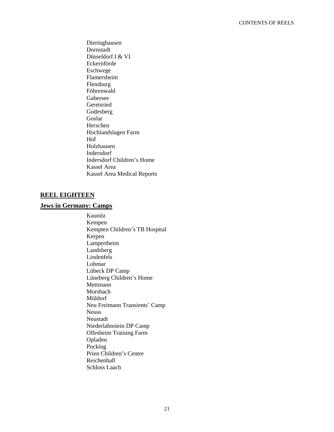Dieringhausen Dornstadt Düsseldorf I & VI Eckernförde Eschwege Flamersheim Flensburg Föhrenwald Gabersee Geretsried Godesberg Goslar Herschen Hochlandslagen Farm Hof Holzhausen Indersdorf Indersdorf Children's Home Kassel Area Kassel Area Medical Reports

## **REEL EIGHTEEN**

## **Jews in Germany: Camps**

Kaunitz Kempen Kempten Children's TB Hospital Kerpen Lampertheim Landsberg Lindenfels Lohmar Lübeck DP Camp Lüneberg Children's Home Mettmann Morsbach Müldorf Neu Freimann Transients' Camp Neuss Neustadt Niederlahnstein DP Camp Ollesheim Training Farm Opladen Pocking Prien Children's Centre Reichenhall Schloss Laach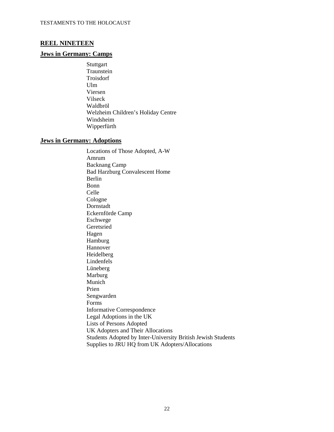#### **REEL NINETEEN**

#### **Jews in Germany: Camps**

**Stuttgart** Traunstein Troisdorf Ulm Viersen Vilseck Waldbröl Welzheim Children's Holiday Centre Windsheim Wipperfürth

#### **Jews in Germany: Adoptions**

Locations of Those Adopted, A-W Amrum Backnang Camp Bad Harzburg Convalescent Home Berlin Bonn Celle Cologne Dornstadt Eckernförde Camp Eschwege Geretsried Hagen Hamburg Hannover Heidelberg Lindenfels Lüneberg Marburg Munich Prien Sengwarden Forms Informative Correspondence Legal Adoptions in the UK Lists of Persons Adopted UK Adopters and Their Allocations Students Adopted by Inter-University British Jewish Students Supplies to JRU HQ from UK Adopters/Allocations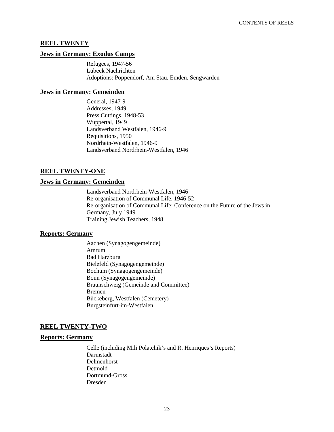#### **REEL TWENTY**

#### **Jews in Germany: Exodus Camps**

Refugees, 1947-56 Lübeck Nachrichten Adoptions: Poppendorf, Am Stau, Emden, Sengwarden

#### **Jews in Germany: Gemeinden**

General, 1947-9 Addresses, 1949 Press Cuttings, 1948-53 Wuppertal, 1949 Landsverband Westfalen, 1946-9 Requisitions, 1950 Nordrhein-Westfalen, 1946-9 Landsverband Nordrhein-Westfalen, 1946

## **REEL TWENTY-ONE**

#### **Jews in Germany: Gemeinden**

Landsverband Nordrhein-Westfalen, 1946 Re-organisation of Communal Life, 1946-52 Re-organisation of Communal Life: Conference on the Future of the Jews in Germany, July 1949 Training Jewish Teachers, 1948

#### **Reports: Germany**

Aachen (Synagogengemeinde) Amrum Bad Harzburg Bielefeld (Synagogengemeinde) Bochum (Synagogengemeinde) Bonn (Synagogengemeinde) Braunschweig (Gemeinde and Committee) Bremen Bückeberg, Westfalen (Cemetery) Burgsteinfurt-im-Westfalen

#### **REEL TWENTY-TWO**

#### **Reports: Germany**

Celle (including Mili Polatchik's and R. Henriques's Reports) Darmstadt Delmenhorst Detmold Dortmund-Gross Dresden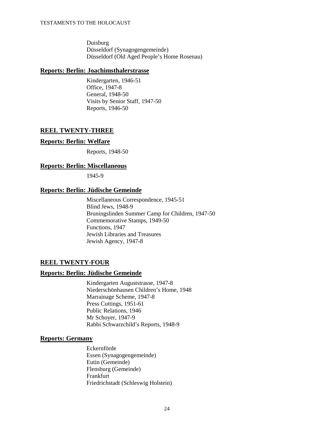Duisburg Düsseldorf (Synagogengemeinde) Düsseldorf (Old Aged People's Home Rosenau)

#### **Reports: Berlin: Joachimsthalerstrasse**

Kindergarten, 1946-51 Office, 1947-8 General, 1948-50 Visits by Senior Staff, 1947-50 Reports, 1946-50

## **REEL TWENTY-THREE**

#### **Reports: Berlin: Welfare**

Reports, 1948-50

### **Reports: Berlin: Miscellaneous**

1945-9

## **Reports: Berlin: Jüdische Gemeinde**

Miscellaneous Correspondence, 1945-51 Blind Jews, 1948-9 Bruningslinden Summer Camp for Children, 1947-50 Commemorative Stamps, 1949-50 Functions, 1947 Jewish Libraries and Treasures Jewish Agency, 1947-8

## **REEL TWENTY-FOUR**

### **Reports: Berlin: Jüdische Gemeinde**

Kindergarten Auguststrasse, 1947-8 Niederschönhausen Children's Home, 1948 Marrainage Scheme, 1947-8 Press Cuttings, 1951-61 Public Relations, 1946 Mr Schoyer, 1947-9 Rabbi Schwarzchild's Reports, 1948-9

### **Reports: Germany**

Eckernförde Essen (Synagogengemeinde) Eutin (Gemeinde) Flensburg (Gemeinde) Frankfurt Friedrichstadt (Schleswig Holstein)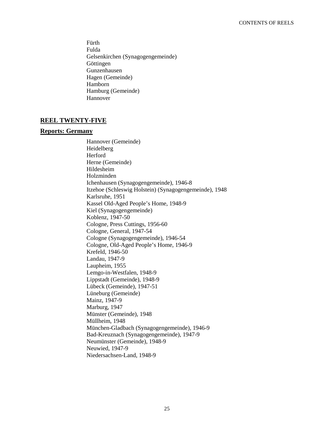Fürth Fulda Gelsenkirchen (Synagogengemeinde) Göttingen Gunzenhausen Hagen (Gemeinde) Hamborn Hamburg (Gemeinde) Hannover

### **REEL TWENTY-FIVE**

#### **Reports: Germany**

Hannover (Gemeinde) Heidelberg Herford Herne (Gemeinde) Hildesheim Holzminden Ichenhausen (Synagogengemeinde), 1946-8 Itzehoe (Schleswig Holstein) (Synagogengemeinde), 1948 Karlsruhe, 1951 Kassel Old-Aged People's Home, 1948-9 Kiel (Synagogengemeinde) Koblenz, 1947-50 Cologne, Press Cuttings, 1956-60 Cologne, General, 1947-54 Cologne (Synagogengemeinde), 1946-54 Cologne, Old-Aged People's Home, 1946-9 Krefeld, 1946-50 Landau, 1947-9 Laupheim, 1955 Lemgo-in-Westfalen, 1948-9 Lippstadt (Gemeinde), 1948-9 Lübeck (Gemeinde), 1947-51 Lüneburg (Gemeinde) Mainz, 1947-9 Marburg, 1947 Münster (Gemeinde), 1948 Müllheim, 1948 München-Gladbach (Synagogengemeinde), 1946-9 Bad-Kreuznach (Synagogengemeinde), 1947-9 Neumünster (Gemeinde), 1948-9 Neuwied, 1947-9 Niedersachsen-Land, 1948-9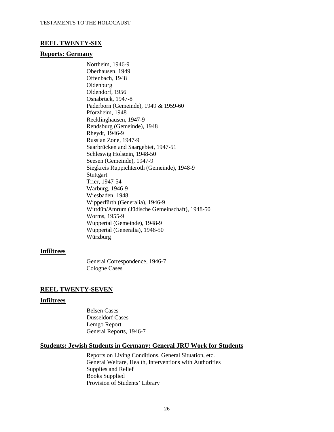#### **REEL TWENTY-SIX**

#### **Reports: Germany**

Northeim, 1946-9 Oberhausen, 1949 Offenbach, 1948 Oldenburg Oldendorf, 1956 Osnabrück, 1947-8 Paderborn (Gemeinde), 1949 & 1959-60 Pforzheim, 1948 Recklinghausen, 1947-9 Rendsburg (Gemeinde), 1948 Rheydt, 1946-9 Russian Zone, 1947-9 Saarbrücken and Saargebiet, 1947-51 Schleswig Holstein, 1948-50 Seesen (Gemeinde), 1947-9 Siegkreis Ruppichteroth (Gemeinde), 1948-9 **Stuttgart** Trier, 1947-54 Warburg, 1946-9 Wiesbaden, 1948 Wipperfürth (Generalia), 1946-9 Wittdün/Amrum (Jüdische Gemeinschaft), 1948-50 Worms, 1955-9 Wuppertal (Gemeinde), 1948-9 Wuppertal (Generalia), 1946-50 Würzburg

#### **Infiltrees**

General Correspondence, 1946-7 Cologne Cases

#### **REEL TWENTY-SEVEN**

#### **Infiltrees**

Belsen Cases Düsseldorf Cases Lemgo Report General Reports, 1946-7

#### **Students: Jewish Students in Germany: General JRU Work for Students**

Reports on Living Conditions, General Situation, etc. General Welfare, Health, Interventions with Authorities Supplies and Relief Books Supplied Provision of Students' Library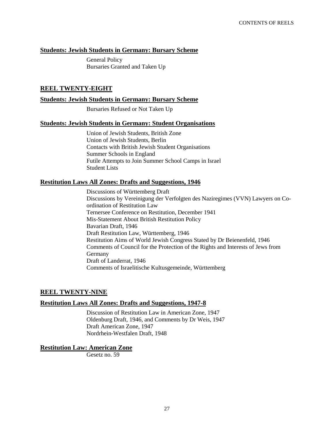#### **Students: Jewish Students in Germany: Bursary Scheme**

General Policy Bursaries Granted and Taken Up

#### **REEL TWENTY-EIGHT**

#### **Students: Jewish Students in Germany: Bursary Scheme**

Bursaries Refused or Not Taken Up

#### **Students: Jewish Students in Germany: Student Organisations**

Union of Jewish Students, British Zone Union of Jewish Students, Berlin Contacts with British Jewish Student Organisations Summer Schools in England Futile Attempts to Join Summer School Camps in Israel Student Lists

#### **Restitution Laws All Zones: Drafts and Suggestions, 1946**

Discussions of Württemberg Draft Discussions by Vereinigung der Verfolgten des Naziregimes (VVN) Lawyers on Coordination of Restitution Law Ternersee Conference on Restitution, December 1941 Mis-Statement About British Restitution Policy Bavarian Draft, 1946 Draft Restitution Law, Württemberg, 1946 Restitution Aims of World Jewish Congress Stated by Dr Beienenfeld, 1946 Comments of Council for the Protection of the Rights and Interests of Jews from Germany Draft of Landerrat, 1946 Comments of Israelitische Kultusgemeinde, Württemberg

#### **REEL TWENTY-NINE**

#### **Restitution Laws All Zones: Drafts and Suggestions, 1947-8**

Discussion of Restitution Law in American Zone, 1947 Oldenburg Draft, 1946, and Comments by Dr Weis, 1947 Draft American Zone, 1947 Nordrhein-Westfalen Draft, 1948

#### **Restitution Law: American Zone**

Gesetz no. 59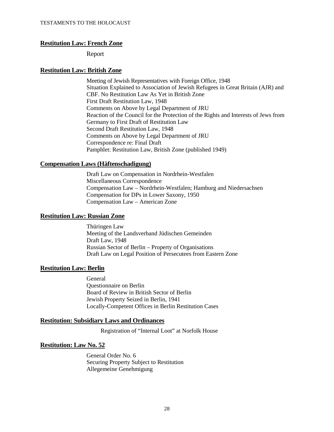#### **Restitution Law: French Zone**

Report

#### **Restitution Law: British Zone**

Meeting of Jewish Representatives with Foreign Office, 1948 Situation Explained to Association of Jewish Refugees in Great Britain (AJR) and CBF. No Restitution Law As Yet in British Zone First Draft Restitution Law, 1948 Comments on Above by Legal Department of JRU Reaction of the Council for the Protection of the Rights and Interests of Jews from Germany to First Draft of Restitution Law Second Draft Restitution Law, 1948 Comments on Above by Legal Department of JRU Correspondence re: Final Draft Pamphlet: Restitution Law, British Zone (published 1949)

#### **Compensation Laws (Häftenschadigung)**

Draft Law on Compensation in Nordrhein-Westfalen Miscellaneous Correspondence Compensation Law – Nordrhein-Westfalen; Hamburg and Niedersachsen Compensation for DPs in Lower Saxony, 1950 Compensation Law – American Zone

#### **Restitution Law: Russian Zone**

Thüringen Law Meeting of the Landsverband Jüdischen Gemeinden Draft Law, 1948 Russian Sector of Berlin – Property of Organisations Draft Law on Legal Position of Persecutees from Eastern Zone

#### **Restitution Law: Berlin**

General Questionnaire on Berlin Board of Review in British Sector of Berlin Jewish Property Seized in Berlin, 1941 Locally-Competent Offices in Berlin Restitution Cases

#### **Restitution: Subsidiary Laws and Ordinances**

Registration of "Internal Loot" at Norfolk House

#### **Restitution: Law No. 52**

General Order No. 6 Securing Property Subject to Restitution Allegemeine Genehmigung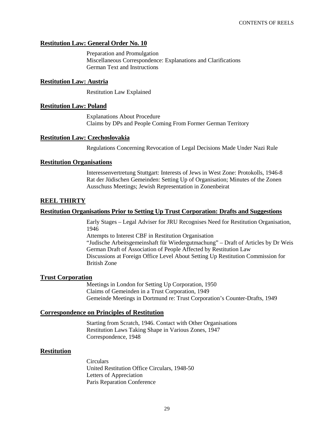#### **Restitution Law: General Order No. 10**

Preparation and Promulgation Miscellaneous Correspondence: Explanations and Clarifications German Text and Instructions

#### **Restitution Law: Austria**

Restitution Law Explained

#### **Restitution Law: Poland**

Explanations About Procedure Claims by DPs and People Coming From Former German Territory

#### **Restitution Law: Czechoslovakia**

Regulations Concerning Revocation of Legal Decisions Made Under Nazi Rule

#### **Restitution Organisations**

Interessenvertretung Stuttgart: Interests of Jews in West Zone: Protokolls, 1946-8 Rat der Jüdischen Gemeinden: Setting Up of Organisation; Minutes of the Zonen Ausschuss Meetings; Jewish Representation in Zonenbeirat

## **REEL THIRTY**

#### **Restitution Organisations Prior to Setting Up Trust Corporation: Drafts and Suggestions**

Early Stages – Legal Adviser for JRU Recognises Need for Restitution Organisation, 1946

Attempts to Interest CBF in Restitution Organisation

"Judische Arbeitsgemeinshaft für Wiedergutmachung" – Draft of Articles by Dr Weis German Draft of Association of People Affected by Restitution Law Discussions at Foreign Office Level About Setting Up Restitution Commission for British Zone

#### **Trust Corporation**

Meetings in London for Setting Up Corporation, 1950 Claims of Gemeinden in a Trust Corporation, 1949 Gemeinde Meetings in Dortmund re: Trust Corporation's Counter-Drafts, 1949

#### **Correspondence on Principles of Restitution**

Starting from Scratch, 1946. Contact with Other Organisations Restitution Laws Taking Shape in Various Zones, 1947 Correspondence, 1948

#### **Restitution**

**Circulars** United Restitution Office Circulars, 1948-50 Letters of Appreciation Paris Reparation Conference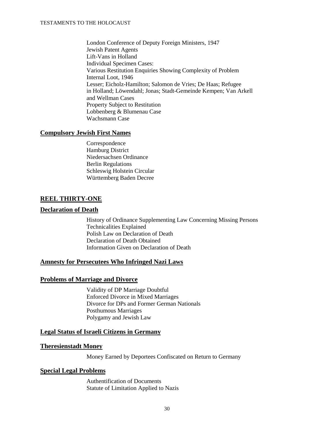London Conference of Deputy Foreign Ministers, 1947 Jewish Patent Agents Lift-Vans in Holland Individual Specimen Cases: Various Restitution Enquiries Showing Complexity of Problem Internal Loot, 1946 Lesser; Eicholz-Hamilton; Salomon de Vries; De Haas; Refugee in Holland; Löwendahl; Jonas; Stadt-Gemeinde Kempen; Van Arkell and Wellman Cases Property Subject to Restitution Lobbenberg & Blumenau Case Wachsmann Case

### **Compulsory Jewish First Names**

Correspondence Hamburg District Niedersachsen Ordinance Berlin Regulations Schleswig Holstein Circular Württemberg Baden Decree

### **REEL THIRTY-ONE**

#### **Declaration of Death**

History of Ordinance Supplementing Law Concerning Missing Persons Technicalities Explained Polish Law on Declaration of Death Declaration of Death Obtained Information Given on Declaration of Death

#### **Amnesty for Persecutees Who Infringed Nazi Laws**

#### **Problems of Marriage and Divorce**

Validity of DP Marriage Doubtful Enforced Divorce in Mixed Marriages Divorce for DPs and Former German Nationals Posthumous Marriages Polygamy and Jewish Law

#### **Legal Status of Israeli Citizens in Germany**

#### **Theresienstadt Money**

Money Earned by Deportees Confiscated on Return to Germany

#### **Special Legal Problems**

Authentification of Documents Statute of Limitation Applied to Nazis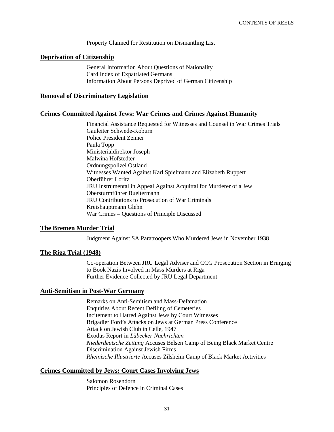Property Claimed for Restitution on Dismantling List

#### **Deprivation of Citizenship**

General Information About Questions of Nationality Card Index of Expatriated Germans Information About Persons Deprived of German Citizenship

#### **Removal of Discriminatory Legislation**

#### **Crimes Committed Against Jews: War Crimes and Crimes Against Humanity**

Financial Assistance Requested for Witnesses and Counsel in War Crimes Trials Gauleiter Schwede-Koburn Police President Zenner Paula Topp Ministerialdirektor Joseph Malwina Hofstedter Ordnungspolizei Ostland Witnesses Wanted Against Karl Spielmann and Elizabeth Ruppert Oberführer Loritz JRU Instrumental in Appeal Against Acquittal for Murderer of a Jew Obersturmführer Bueltermann JRU Contributions to Prosecution of War Criminals Kreishauptmann Glehn War Crimes – Questions of Principle Discussed

#### **The Bremen Murder Trial**

Judgment Against SA Paratroopers Who Murdered Jews in November 1938

#### **The Riga Trial (1948)**

Co-operation Between JRU Legal Adviser and CCG Prosecution Section in Bringing to Book Nazis Involved in Mass Murders at Riga Further Evidence Collected by JRU Legal Department

#### **Anti-Semitism in Post-War Germany**

Remarks on Anti-Semitism and Mass-Defamation Enquiries About Recent Defiling of Cemeteries Incitement to Hatred Against Jews by Court Witnesses Brigadier Ford's Attacks on Jews at German Press Conference Attack on Jewish Club in Celle, 1947 Exodus Report in *Lübecker Nachrichten Niederdeutsche Zeitung* Accuses Belsen Camp of Being Black Market Centre Discrimination Against Jewish Firms *Rheinische Illustrierte* Accuses Zilsheim Camp of Black Market Activities

### **Crimes Committed by Jews: Court Cases Involving Jews**

Salomon Rosendorn Principles of Defence in Criminal Cases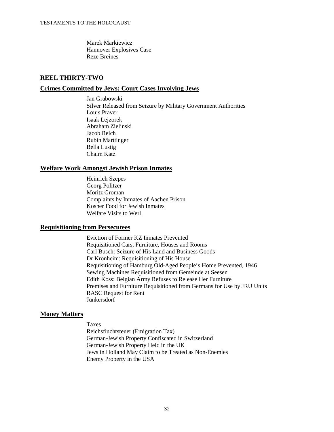Marek Markiewicz Hannover Explosives Case Reze Breines

## **REEL THIRTY-TWO**

#### **Crimes Committed by Jews: Court Cases Involving Jews**

Jan Grabowski Silver Released from Seizure by Military Government Authorities Louis Praver Isaak Lejzorek Abraham Zielinski Jacob Reich Rubin Marttinger Bella Lustig Chaim Katz

#### **Welfare Work Amongst Jewish Prison Inmates**

Heinrich Szepes Georg Politzer Moritz Groman Complaints by Inmates of Aachen Prison Kosher Food for Jewish Inmates Welfare Visits to Werl

### **Requisitioning from Persecutees**

Eviction of Former KZ Inmates Prevented Requisitioned Cars, Furniture, Houses and Rooms Carl Busch: Seizure of His Land and Business Goods Dr Kronheim: Requisitioning of His House Requisitioning of Hamburg Old-Aged People's Home Prevented, 1946 Sewing Machines Requisitioned from Gemeinde at Seesen Edith Koss: Belgian Army Refuses to Release Her Furniture Premises and Furniture Requisitioned from Germans for Use by JRU Units RASC Request for Rent Junkersdorf

### **Money Matters**

Taxes

Reichsfluchtsteuer (Emigration Tax) German-Jewish Property Confiscated in Switzerland German-Jewish Property Held in the UK Jews in Holland May Claim to be Treated as Non-Enemies Enemy Property in the USA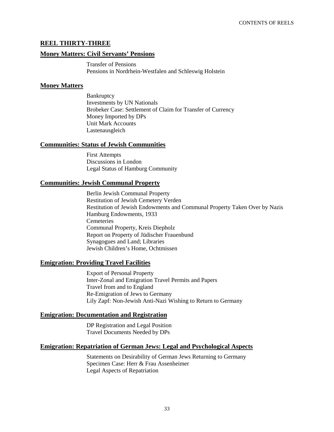### **REEL THIRTY-THREE**

#### **Money Matters: Civil Servants' Pensions**

Transfer of Pensions Pensions in Nordrhein-Westfalen and Schleswig Holstein

#### **Money Matters**

**Bankruptcy** Investments by UN Nationals Brobeker Case: Settlement of Claim for Transfer of Currency Money Imported by DPs Unit Mark Accounts Lastenausgleich

#### **Communities: Status of Jewish Communities**

First Attempts Discussions in London Legal Status of Hamburg Community

### **Communities: Jewish Communal Property**

Berlin Jewish Communal Property Restitution of Jewish Cemetery Verden Restitution of Jewish Endowments and Communal Property Taken Over by Nazis Hamburg Endowments, 1933 **Cemeteries** Communal Property, Kreis Diepholz Report on Property of Jüdischer Frauenbund Synagogues and Land; Libraries Jewish Children's Home, Ochtmissen

### **Emigration: Providing Travel Facilities**

Export of Personal Property Inter-Zonal and Emigration Travel Permits and Papers Travel from and to England Re-Emigration of Jews to Germany Lily Zapf: Non-Jewish Anti-Nazi Wishing to Return to Germany

#### **Emigration: Documentation and Registration**

DP Registration and Legal Position Travel Documents Needed by DPs

#### **Emigration: Repatriation of German Jews: Legal and Psychological Aspects**

Statements on Desirability of German Jews Returning to Germany Specimen Case: Herr & Frau Assenheimer Legal Aspects of Repatriation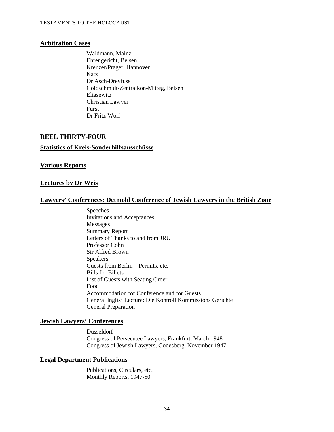#### **Arbitration Cases**

Waldmann, Mainz Ehrengericht, Belsen Kreuzer/Prager, Hannover Katz Dr Asch-Dreyfuss Goldschmidt-Zentralkon-Mitteg, Belsen Eliasewitz Christian Lawyer Fürst Dr Fritz-Wolf

## **REEL THIRTY-FOUR**

#### **Statistics of Kreis-Sonderhilfsausschüsse**

#### **Various Reports**

#### **Lectures by Dr Weis**

#### **Lawyers' Conferences: Detmold Conference of Jewish Lawyers in the British Zone**

Speeches Invitations and Acceptances Messages Summary Report Letters of Thanks to and from JRU Professor Cohn Sir Alfred Brown Speakers Guests from Berlin – Permits, etc. Bills for Billets List of Guests with Seating Order Food Accommodation for Conference and for Guests General Inglis' Lecture: Die Kontroll Kommissions Gerichte General Preparation

#### **Jewish Lawyers' Conferences**

Düsseldorf Congress of Persecutee Lawyers, Frankfurt, March 1948 Congress of Jewish Lawyers, Godesberg, November 1947

#### **Legal Department Publications**

Publications, Circulars, etc. Monthly Reports, 1947-50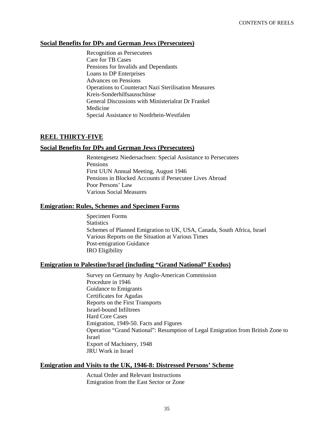#### **Social Benefits for DPs and German Jews (Persecutees)**

Recognition as Persecutees Care for TB Cases Pensions for Invalids and Dependants Loans to DP Enterprises Advances on Pensions Operations to Counteract Nazi Sterilisation Measures Kreis-Sonderhilfsausschüsse General Discussions with Ministerialrat Dr Frankel Medicine Special Assistance to Nordrhein-Westfalen

## **REEL THIRTY-FIVE**

#### **Social Benefits for DPs and German Jews (Persecutees)**

Rentengesetz Niedersachsen: Special Assistance to Persecutees Pensions First UUN Annual Meeting, August 1946 Pensions in Blocked Accounts if Persecutee Lives Abroad Poor Persons' Law Various Social Measures

#### **Emigration: Rules, Schemes and Specimen Forms**

Specimen Forms **Statistics** Schemes of Planned Emigration to UK, USA, Canada, South Africa, Israel Various Reports on the Situation at Various Times Post-emigration Guidance IRO Eligibility

#### **Emigration to Palestine/Israel (including "Grand National" Exodus)**

Survey on Germany by Anglo-American Commission Procedure in 1946 Guidance to Emigrants Certificates for Agudas Reports on the First Transports Israel-bound Infiltrees Hard Core Cases Emigration, 1949-50. Facts and Figures Operation "Grand National": Resumption of Legal Emigration from British Zone to Israel Export of Machinery, 1948 JRU Work in Israel

#### **Emigration and Visits to the UK, 1946-8: Distressed Persons' Scheme**

Actual Order and Relevant Instructions Emigration from the East Sector or Zone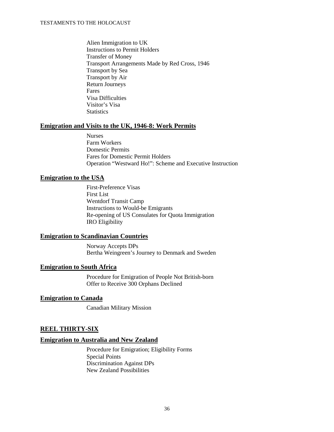Alien Immigration to UK Instructions to Permit Holders Transfer of Money Transport Arrangements Made by Red Cross, 1946 Transport by Sea Transport by Air Return Journeys Fares Visa Difficulties Visitor's Visa **Statistics** 

#### **Emigration and Visits to the UK, 1946-8: Work Permits**

Nurses Farm Workers Domestic Permits Fares for Domestic Permit Holders Operation "Westward Ho!": Scheme and Executive Instruction

#### **Emigration to the USA**

First-Preference Visas First List Wentdorf Transit Camp Instructions to Would-be Emigrants Re-opening of US Consulates for Quota Immigration IRO Eligibility

### **Emigration to Scandinavian Countries**

Norway Accepts DPs Bertha Weingreen's Journey to Denmark and Sweden

#### **Emigration to South Africa**

Procedure for Emigration of People Not British-born Offer to Receive 300 Orphans Declined

#### **Emigration to Canada**

Canadian Military Mission

### **REEL THIRTY-SIX**

#### **Emigration to Australia and New Zealand**

Procedure for Emigration; Eligibility Forms Special Points Discrimination Against DPs New Zealand Possibilities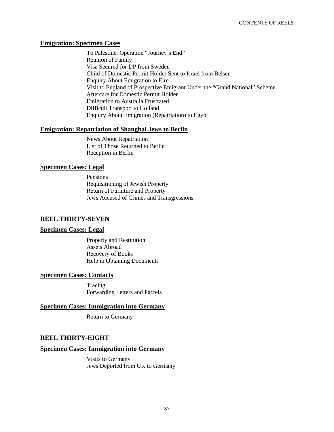#### **Emigration: Specimen Cases**

To Palestine: Operation "Journey's End" Reunion of Family Visa Secured for DP from Sweden Child of Domestic Permit Holder Sent to Israel from Belsen Enquiry About Emigration to Eire Visit to England of Prospective Emigrant Under the "Grand National" Scheme Aftercare for Domestic Permit Holder Emigration to Australia Frustrated Difficult Transport to Holland Enquiry About Emigration (Repatriation) to Egypt

#### **Emigration: Repatriation of Shanghai Jews to Berlin**

News About Repatriation List of Those Returned to Berlin Reception in Berlin

#### **Specimen Cases: Legal**

Pensions Requisitioning of Jewish Property Return of Furniture and Property Jews Accused of Crimes and Transgressions

### **REEL THIRTY-SEVEN**

#### **Specimen Cases: Legal**

Property and Restitution Assets Abroad Recovery of Books Help in Obtaining Documents

#### **Specimen Cases: Contacts**

Tracing Forwarding Letters and Parcels

#### **Specimen Cases: Immigration into Germany**

Return to Germany

## **REEL THIRTY-EIGHT**

#### **Specimen Cases: Immigration into Germany**

Visits to Germany Jews Deported from UK to Germany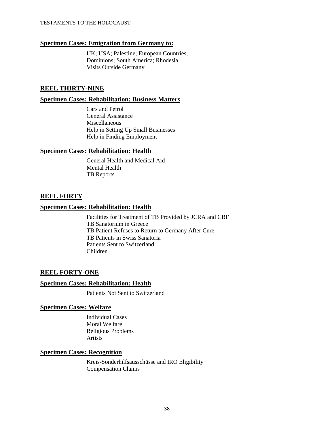#### **Specimen Cases: Emigration from Germany to:**

UK; USA; Palestine; European Countries; Dominions; South America; Rhodesia Visits Outside Germany

#### **REEL THIRTY-NINE**

#### **Specimen Cases: Rehabilitation: Business Matters**

Cars and Petrol General Assistance Miscellaneous Help in Setting Up Small Businesses Help in Finding Employment

#### **Specimen Cases: Rehabilitation: Health**

General Health and Medical Aid Mental Health TB Reports

#### **REEL FORTY**

#### **Specimen Cases: Rehabilitation: Health**

Facilities for Treatment of TB Provided by JCRA and CBF TB Sanatorium in Greece TB Patient Refuses to Return to Germany After Cure TB Patients in Swiss Sanatoria Patients Sent to Switzerland Children

### **REEL FORTY-ONE**

#### **Specimen Cases: Rehabilitation: Health**

Patients Not Sent to Switzerland

#### **Specimen Cases: Welfare**

Individual Cases Moral Welfare Religious Problems Artists

## **Specimen Cases: Recognition**

Kreis-Sonderhilfsausschüsse and IRO Eligibility Compensation Claims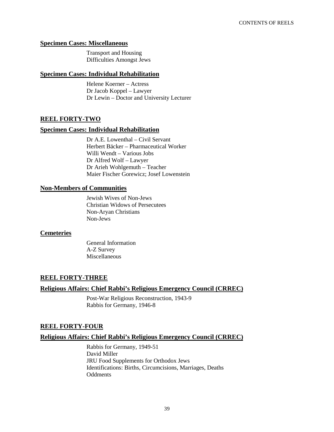#### **Specimen Cases: Miscellaneous**

Transport and Housing Difficulties Amongst Jews

#### **Specimen Cases: Individual Rehabilitation**

Helene Koerner – Actress Dr Jacob Koppel – Lawyer Dr Lewin – Doctor and University Lecturer

### **REEL FORTY-TWO**

#### **Specimen Cases: Individual Rehabilitation**

Dr A.E. Lowenthal – Civil Servant Herbert Bäcker – Pharmaceutical Worker Willi Wendt – Various Jobs Dr Alfred Wolf – Lawyer Dr Arieh Wohlgemuth – Teacher Maier Fischer Gorewicz; Josef Lowenstein

#### **Non-Members of Communities**

Jewish Wives of Non-Jews Christian Widows of Persecutees Non-Aryan Christians Non-Jews

#### **Cemeteries**

General Information A-Z Survey Miscellaneous

### **REEL FORTY-THREE**

### **Religious Affairs: Chief Rabbi's Religious Emergency Council (CRREC)**

Post-War Religious Reconstruction, 1943-9 Rabbis for Germany, 1946-8

### **REEL FORTY-FOUR**

#### **Religious Affairs: Chief Rabbi's Religious Emergency Council (CRREC)**

Rabbis for Germany, 1949-51 David Miller JRU Food Supplements for Orthodox Jews Identifications: Births, Circumcisions, Marriages, Deaths **Oddments**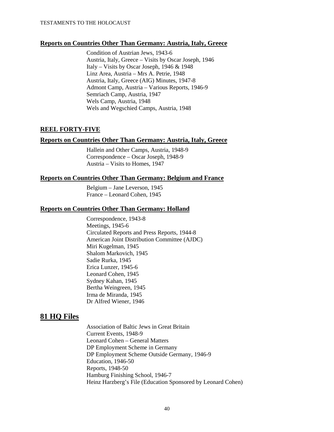#### **Reports on Countries Other Than Germany: Austria, Italy, Greece**

Condition of Austrian Jews, 1943-6 Austria, Italy, Greece – Visits by Oscar Joseph, 1946 Italy – Visits by Oscar Joseph, 1946 & 1948 Linz Area, Austria – Mrs A. Petrie, 1948 Austria, Italy, Greece (AIG) Minutes, 1947-8 Admont Camp, Austria – Various Reports, 1946-9 Semriach Camp, Austria, 1947 Wels Camp, Austria, 1948 Wels and Wegschied Camps, Austria, 1948

### **REEL FORTY-FIVE**

#### **Reports on Countries Other Than Germany: Austria, Italy, Greece**

Hallein and Other Camps, Austria, 1948-9 Correspondence – Oscar Joseph, 1948-9 Austria – Visits to Homes, 1947

#### **Reports on Countries Other Than Germany: Belgium and France**

Belgium – Jane Leverson, 1945 France – Leonard Cohen, 1945

#### **Reports on Countries Other Than Germany: Holland**

Correspondence, 1943-8 Meetings, 1945-6 Circulated Reports and Press Reports, 1944-8 American Joint Distribution Committee (AJDC) Miri Kugelman, 1945 Shalom Markovich, 1945 Sadie Rurka, 1945 Erica Lunzer, 1945-6 Leonard Cohen, 1945 Sydney Kahan, 1945 Bertha Weingreen, 1945 Irma de Miranda, 1945 Dr Alfred Wiener, 1946

## **81 HQ Files**

Association of Baltic Jews in Great Britain Current Events, 1948-9 Leonard Cohen – General Matters DP Employment Scheme in Germany DP Employment Scheme Outside Germany, 1946-9 Education, 1946-50 Reports, 1948-50 Hamburg Finishing School, 1946-7 Heinz Harzberg's File (Education Sponsored by Leonard Cohen)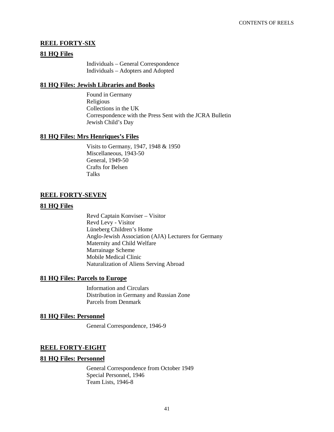## **REEL FORTY-SIX**

#### **81 HQ Files**

Individuals – General Correspondence Individuals – Adopters and Adopted

#### **81 HQ Files: Jewish Libraries and Books**

Found in Germany Religious Collections in the UK Correspondence with the Press Sent with the JCRA Bulletin Jewish Child's Day

#### **81 HQ Files: Mrs Henriques's Files**

Visits to Germany, 1947, 1948 & 1950 Miscellaneous, 1943-50 General, 1949-50 Crafts for Belsen Talks

## **REEL FORTY-SEVEN**

### **81 HQ Files**

Revd Captain Konviser – Visitor Revd Levy - Visitor Lüneberg Children's Home Anglo-Jewish Association (AJA) Lecturers for Germany Maternity and Child Welfare Marrainage Scheme Mobile Medical Clinic Naturalization of Aliens Serving Abroad

#### **81 HQ Files: Parcels to Europe**

Information and Circulars Distribution in Germany and Russian Zone Parcels from Denmark

#### **81 HQ Files: Personnel**

General Correspondence, 1946-9

### **REEL FORTY-EIGHT**

#### **81 HQ Files: Personnel**

General Correspondence from October 1949 Special Personnel, 1946 Team Lists, 1946-8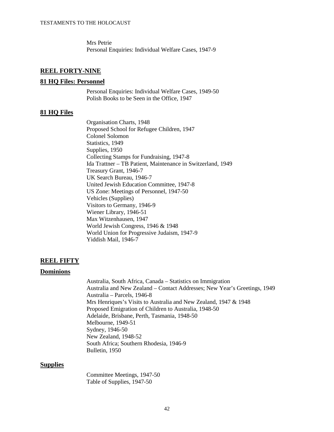Mrs Petrie Personal Enquiries: Individual Welfare Cases, 1947-9

#### **REEL FORTY-NINE**

#### **81 HQ Files: Personnel**

Personal Enquiries: Individual Welfare Cases, 1949-50 Polish Books to be Seen in the Office, 1947

#### **81 HQ Files**

Organisation Charts, 1948 Proposed School for Refugee Children, 1947 Colonel Solomon Statistics, 1949 Supplies, 1950 Collecting Stamps for Fundraising, 1947-8 Ida Trattner – TB Patient, Maintenance in Switzerland, 1949 Treasury Grant, 1946-7 UK Search Bureau, 1946-7 United Jewish Education Committee, 1947-8 US Zone: Meetings of Personnel, 1947-50 Vehicles (Supplies) Visitors to Germany, 1946-9 Wiener Library, 1946-51 Max Witzenhausen, 1947 World Jewish Congress, 1946 & 1948 World Union for Progressive Judaism, 1947-9 Yiddish Mail, 1946-7

#### **REEL FIFTY**

#### **Dominions**

Australia, South Africa, Canada – Statistics on Immigration Australia and New Zealand – Contact Addresses; New Year's Greetings, 1949 Australia – Parcels, 1946-8 Mrs Henriques's Visits to Australia and New Zealand, 1947 & 1948 Proposed Emigration of Children to Australia, 1948-50 Adelaide, Brisbane, Perth, Tasmania, 1948-50 Melbourne, 1949-51 Sydney, 1946-50 New Zealand, 1948-52 South Africa; Southern Rhodesia, 1946-9 Bulletin, 1950

#### **Supplies**

Committee Meetings, 1947-50 Table of Supplies, 1947-50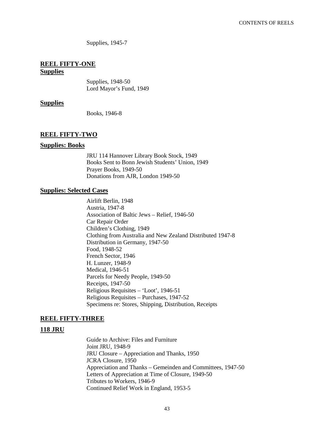Supplies, 1945-7

## **REEL FIFTY-ONE**

## **Supplies**

Supplies, 1948-50 Lord Mayor's Fund, 1949

#### **Supplies**

Books, 1946-8

#### **REEL FIFTY-TWO**

#### **Supplies: Books**

JRU 114 Hannover Library Book Stock, 1949 Books Sent to Bonn Jewish Students' Union, 1949 Prayer Books, 1949-50 Donations from AJR, London 1949-50

#### **Supplies: Selected Cases**

Airlift Berlin, 1948 Austria, 1947-8 Association of Baltic Jews – Relief, 1946-50 Car Repair Order Children's Clothing, 1949 Clothing from Australia and New Zealand Distributed 1947-8 Distribution in Germany, 1947-50 Food, 1948-52 French Sector, 1946 H. Lunzer, 1948-9 Medical, 1946-51 Parcels for Needy People, 1949-50 Receipts, 1947-50 Religious Requisites – 'Loot', 1946-51 Religious Requisites – Purchases, 1947-52 Specimens re: Stores, Shipping, Distribution, Receipts

#### **REEL FIFTY-THREE**

#### **118 JRU**

Guide to Archive: Files and Furniture Joint JRU, 1948-9 JRU Closure – Appreciation and Thanks, 1950 JCRA Closure, 1950 Appreciation and Thanks – Gemeinden and Committees, 1947-50 Letters of Appreciation at Time of Closure, 1949-50 Tributes to Workers, 1946-9 Continued Relief Work in England, 1953-5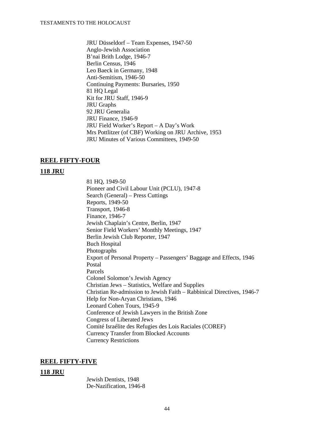JRU Düsseldorf – Team Expenses, 1947-50 Anglo-Jewish Association B'nai Brith Lodge, 1946-7 Berlin Census, 1946 Leo Baeck in Germany, 1948 Anti-Semitism, 1946-50 Continuing Payments: Bursaries, 1950 81 HQ Legal Kit for JRU Staff, 1946-9 JRU Graphs 92 JRU Generalia JRU Finance, 1946-9 JRU Field Worker's Report – A Day's Work Mrs Pottlitzer (of CBF) Working on JRU Archive, 1953 JRU Minutes of Various Committees, 1949-50

#### **REEL FIFTY-FOUR**

#### **118 JRU**

81 HQ, 1949-50 Pioneer and Civil Labour Unit (PCLU), 1947-8 Search (General) – Press Cuttings Reports, 1949-50 Transport, 1946-8 Finance, 1946-7 Jewish Chaplain's Centre, Berlin, 1947 Senior Field Workers' Monthly Meetings, 1947 Berlin Jewish Club Reporter, 1947 Buch Hospital Photographs Export of Personal Property – Passengers' Baggage and Effects, 1946 Postal Parcels Colonel Solomon's Jewish Agency Christian Jews – Statistics, Welfare and Supplies Christian Re-admission to Jewish Faith – Rabbinical Directives, 1946-7 Help for Non-Aryan Christians, 1946 Leonard Cohen Tours, 1945-9 Conference of Jewish Lawyers in the British Zone Congress of Liberated Jews Comité Israélite des Refugies des Lois Raciales (COREF) Currency Transfer from Blocked Accounts Currency Restrictions

## **REEL FIFTY-FIVE**

#### **118 JRU**

Jewish Dentists, 1948 De-Nazification, 1946-8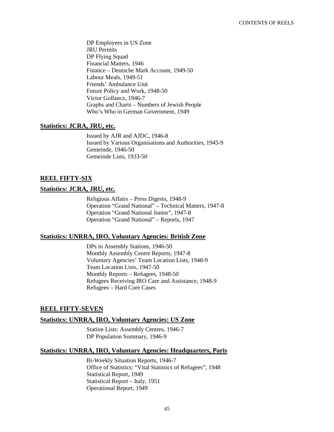DP Employees in US Zone JRU Permits DP Flying Squad Financial Matters, 1946 Finance – Deutsche Mark Account, 1949-50 Labour Meals, 1949-51 Friends' Ambulance Unit Future Policy and Work, 1948-50 Victor Gollancz, 1946-7 Graphs and Charts – Numbers of Jewish People Who's Who in German Government, 1949

#### **Statistics: JCRA, JRU, etc.**

Issued by AJR and AJDC, 1946-8 Issued by Various Organisations and Authorities, 1945-9 Gemeinde, 1946-50 Gemeinde Lists, 1933-50

#### **REEL FIFTY-SIX**

#### **Statistics: JCRA, JRU, etc.**

Religious Affairs – Press Digests, 1948-9 Operation "Grand National" – Technical Matters, 1947-8 Operation "Grand National Junior", 1947-8 Operation "Grand National" – Reports, 1947

#### **Statistics: UNRRA, IRO, Voluntary Agencies: British Zone**

DPs in Assembly Stations, 1946-50 Monthly Assembly Centre Reports, 1947-8 Voluntary Agencies' Team Location Lists, 1948-9 Team Location Lists, 1947-50 Monthly Reports – Refugees, 1948-50 Refugees Receiving IRO Care and Assistance, 1948-9 Refugees – Hard Core Cases

### **REEL FIFTY-SEVEN**

#### **Statistics: UNRRA, IRO, Voluntary Agencies: US Zone**

Station Lists: Assembly Centres, 1946-7 DP Population Summary, 1946-9

#### **Statistics: UNRRA, IRO, Voluntary Agencies: Headquarters, Paris**

Bi-Weekly Situation Reports, 1946-7 Office of Statistics: "Vital Statistics of Refugees", 1948 Statistical Report, 1949 Statistical Report – Italy, 1951 Operational Report, 1949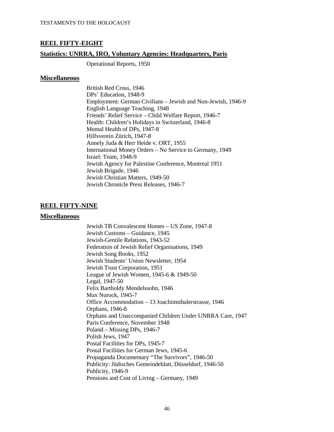### **REEL FIFTY-EIGHT**

#### **Statistics: UNRRA, IRO, Voluntary Agencies: Headquarters, Paris**

Operational Reports, 1950

#### **Miscellaneous**

British Red Cross, 1946 DPs' Education, 1948-9 Employment: German Civilians – Jewish and Non-Jewish, 1946-9 English Language Teaching, 1948 Friends' Relief Service – Child Welfare Report, 1946-7 Health: Children's Holidays in Switzerland, 1946-8 Mental Health of DPs, 1947-8 Hilfsverein Zürich, 1947-8 Annely Juda & Herr Heide v. ORT, 1955 International Money Orders – No Service to Germany, 1949 Israel: Team, 1948-9 Jewish Agency for Palestine Conference, Montreal 1951 Jewish Brigade, 1946 Jewish Christian Matters, 1949-50 Jewish Chronicle Press Releases, 1946-7

#### **REEL FIFTY-NINE**

#### **Miscellaneous**

Jewish TB Convalescent Homes – US Zone, 1947-8 Jewish Customs – Guidance, 1945 Jewish-Gentile Relations, 1943-52 Federation of Jewish Relief Organisations, 1949 Jewish Song Books, 1952 Jewish Students' Union Newsletter, 1954 Jewish Trust Corporation, 1951 League of Jewish Women, 1945-6 & 1949-50 Legal, 1947-50 Felix Bartholdy Mendelssohn, 1946 Max Nurock, 1945-7 Office Accommodation – 13 Joachimsthalerstrasse, 1946 Orphans, 1946-8 Orphans and Unaccompanied Children Under UNRRA Care, 1947 Paris Conference, November 1948 Poland – Missing DPs, 1946-7 Polish Jews, 1947 Postal Facilities for DPs, 1945-7 Postal Facilities for German Jews, 1945-6 Propaganda Documentary "The Survivors", 1946-50 Publicity: Jüdisches Gemeindeblatt, Düsseldorf, 1946-50 Publicity, 1946-9 Pensions and Cost of Living – Germany, 1949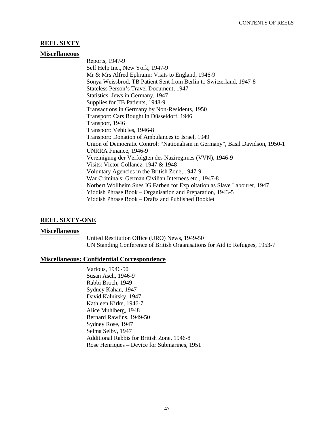## **REEL SIXTY**

#### **Miscellaneous**

Reports, 1947-9 Self Help Inc., New York, 1947-9 Mr & Mrs Alfred Ephraim: Visits to England, 1946-9 Sonya Weissbrod, TB Patient Sent from Berlin to Switzerland, 1947-8 Stateless Person's Travel Document, 1947 Statistics: Jews in Germany, 1947 Supplies for TB Patients, 1948-9 Transactions in Germany by Non-Residents, 1950 Transport: Cars Bought in Düsseldorf, 1946 Transport, 1946 Transport: Vehicles, 1946-8 Transport: Donation of Ambulances to Israel, 1949 Union of Democratic Control: "Nationalism in Germany", Basil Davidson, 1950-1 UNRRA Finance, 1946-9 Vereinigung der Verfolgten des Naziregimes (VVN), 1946-9 Visits: Victor Gollancz, 1947 & 1948 Voluntary Agencies in the British Zone, 1947-9 War Criminals: German Civilian Internees etc., 1947-8 Norbert Wollheim Sues IG Farben for Exploitation as Slave Labourer, 1947 Yiddish Phrase Book – Organisation and Preparation, 1943-5 Yiddish Phrase Book – Drafts and Published Booklet

### **REEL SIXTY-ONE**

#### **Miscellaneous**

United Restitution Office (URO) News, 1949-50 UN Standing Conference of British Organisations for Aid to Refugees, 1953-7

#### **Miscellaneous: Confidential Correspondence**

Various, 1946-50 Susan Asch, 1946-9 Rabbi Broch, 1949 Sydney Kahan, 1947 David Kalnitsky, 1947 Kathleen Kirke, 1946-7 Alice Muhlberg, 1948 Bernard Rawlins, 1949-50 Sydney Rose, 1947 Selma Selby, 1947 Additional Rabbis for British Zone, 1946-8 Rose Henriques – Device for Submarines, 1951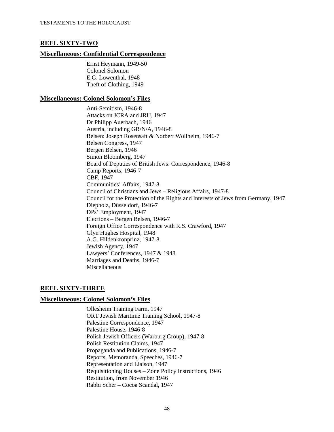## **REEL SIXTY-TWO**

#### **Miscellaneous: Confidential Correspondence**

Ernst Heymann, 1949-50 Colonel Solomon E.G. Lowenthal, 1948 Theft of Clothing, 1949

#### **Miscellaneous: Colonel Solomon's Files**

Anti-Semitism, 1946-8 Attacks on JCRA and JRU, 1947 Dr Philipp Auerbach, 1946 Austria, including GR/N/A, 1946-8 Belsen: Joseph Rosensaft & Norbert Wollheim, 1946-7 Belsen Congress, 1947 Bergen Belsen, 1946 Simon Bloomberg, 1947 Board of Deputies of British Jews: Correspondence, 1946-8 Camp Reports, 1946-7 CBF, 1947 Communities' Affairs, 1947-8 Council of Christians and Jews – Religious Affairs, 1947-8 Council for the Protection of the Rights and Interests of Jews from Germany, 1947 Diepholz, Düsseldorf, 1946-7 DPs' Employment, 1947 Elections – Bergen Belsen, 1946-7 Foreign Office Correspondence with R.S. Crawford, 1947 Glyn Hughes Hospital, 1948 A.G. Hildenkronprinz, 1947-8 Jewish Agency, 1947 Lawyers' Conferences, 1947 & 1948 Marriages and Deaths, 1946-7 Miscellaneous

### **REEL SIXTY-THREE**

#### **Miscellaneous: Colonel Solomon's Files**

Ollesheim Training Farm, 1947 ORT Jewish Maritime Training School, 1947-8 Palestine Correspondence, 1947 Palestine House, 1946-8 Polish Jewish Officers (Warburg Group), 1947-8 Polish Restitution Claims, 1947 Propaganda and Publications, 1946-7 Reports, Memoranda, Speeches, 1946-7 Representation and Liaison, 1947 Requisitioning Houses – Zone Policy Instructions, 1946 Restitution, from November 1946 Rabbi Scher – Cocoa Scandal, 1947